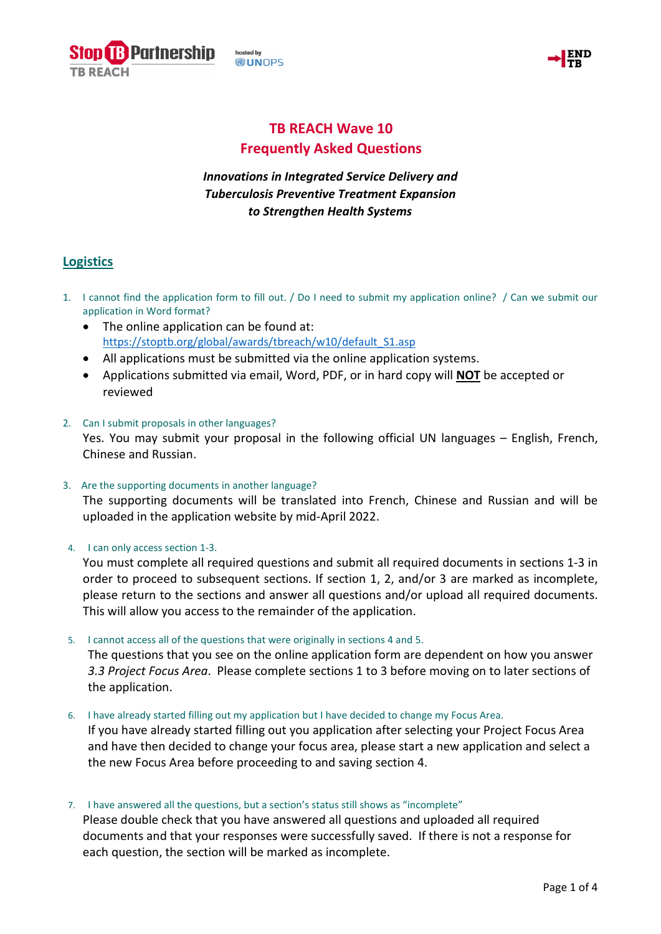osted by **WUNOPS** 

**Partnership** 



# **TB REACH Wave 10 Frequently Asked Questions**

## *Innovations in Integrated Service Delivery and Tuberculosis Preventive Treatment Expansion to Strengthen Health Systems*

## **Logistics**

- 1. I cannot find the application form to fill out. / Do I need to submit my application online? / Can we submit our application in Word format?
	- The online application can be found at: [https://stoptb.org/global/awards/tbreach/w10/default\\_S1.asp](https://stoptb.org/global/awards/tbreach/w10/default_S1.asp)
	- All applications must be submitted via the online application systems.
	- Applications submitted via email, Word, PDF, or in hard copy will **NOT** be accepted or reviewed
- 2. Can I submit proposals in other languages? Yes. You may submit your proposal in the following official UN languages – English, French, Chinese and Russian.
- 3. Are the supporting documents in another language?

The supporting documents will be translated into French, Chinese and Russian and will be uploaded in the application website by mid-April 2022.

4. I can only access section 1-3.

You must complete all required questions and submit all required documents in sections 1-3 in order to proceed to subsequent sections. If section 1, 2, and/or 3 are marked as incomplete, please return to the sections and answer all questions and/or upload all required documents. This will allow you access to the remainder of the application.

5. I cannot access all of the questions that were originally in sections 4 and 5.

The questions that you see on the online application form are dependent on how you answer *3.3 Project Focus Area*. Please complete sections 1 to 3 before moving on to later sections of the application.

6. I have already started filling out my application but I have decided to change my Focus Area.

If you have already started filling out you application after selecting your Project Focus Area and have then decided to change your focus area, please start a new application and select a the new Focus Area before proceeding to and saving section 4.

7. I have answered all the questions, but a section's status still shows as "incomplete"

Please double check that you have answered all questions and uploaded all required documents and that your responses were successfully saved. If there is not a response for each question, the section will be marked as incomplete.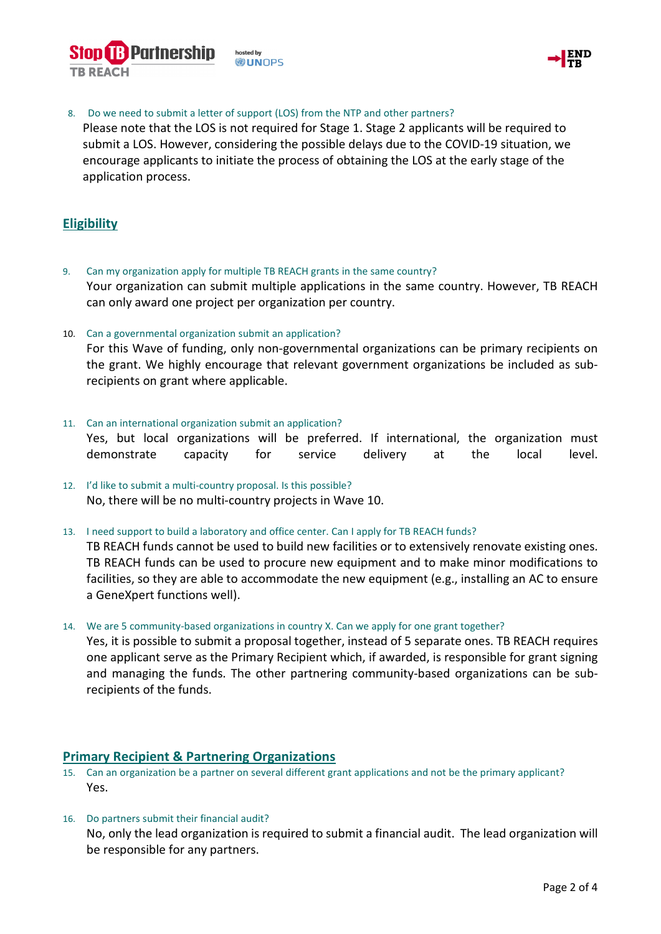



8. Do we need to submit a letter of support (LOS) from the NTP and other partners?

Please note that the LOS is not required for Stage 1. Stage 2 applicants will be required to submit a LOS. However, considering the possible delays due to the COVID-19 situation, we encourage applicants to initiate the process of obtaining the LOS at the early stage of the application process.

### **Eligibility**

- 9. Can my organization apply for multiple TB REACH grants in the same country? Your organization can submit multiple applications in the same country. However, TB REACH can only award one project per organization per country.
- 10. Can a governmental organization submit an application?

For this Wave of funding, only non-governmental organizations can be primary recipients on the grant. We highly encourage that relevant government organizations be included as subrecipients on grant where applicable.

- 11. Can an international organization submit an application? Yes, but local organizations will be preferred. If international, the organization must demonstrate capacity for service delivery at the local level.
- 12. I'd like to submit a multi-country proposal. Is this possible? No, there will be no multi-country projects in Wave 10.
- 13. I need support to build a laboratory and office center. Can I apply for TB REACH funds?

TB REACH funds cannot be used to build new facilities or to extensively renovate existing ones. TB REACH funds can be used to procure new equipment and to make minor modifications to facilities, so they are able to accommodate the new equipment (e.g., installing an AC to ensure a GeneXpert functions well).

14. We are 5 community-based organizations in country X. Can we apply for one grant together?

Yes, it is possible to submit a proposal together, instead of 5 separate ones. TB REACH requires one applicant serve as the Primary Recipient which, if awarded, is responsible for grant signing and managing the funds. The other partnering community-based organizations can be subrecipients of the funds.

#### **Primary Recipient & Partnering Organizations**

- 15. Can an organization be a partner on several different grant applications and not be the primary applicant? Yes.
- 16. Do partners submit their financial audit? No, only the lead organization is required to submit a financial audit. The lead organization will be responsible for any partners.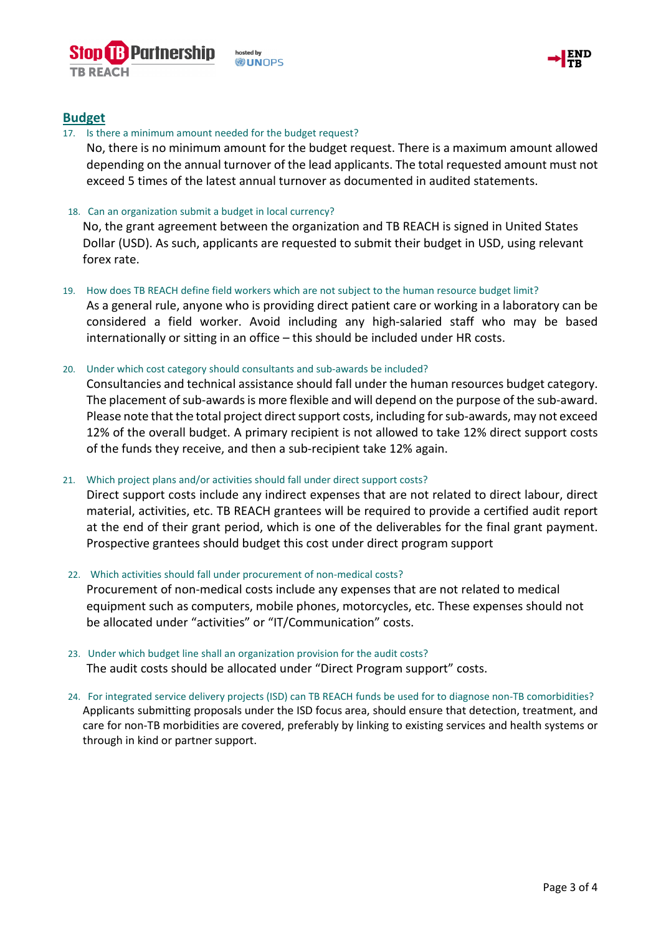



#### **Budget**

#### 17. Is there a minimum amount needed for the budget request?

No, there is no minimum amount for the budget request. There is a maximum amount allowed depending on the annual turnover of the lead applicants. The total requested amount must not exceed 5 times of the latest annual turnover as documented in audited statements.

#### 18. Can an organization submit a budget in local currency?

No, the grant agreement between the organization and TB REACH is signed in United States Dollar (USD). As such, applicants are requested to submit their budget in USD, using relevant forex rate.

#### 19. How does TB REACH define field workers which are not subject to the human resource budget limit?

As a general rule, anyone who is providing direct patient care or working in a laboratory can be considered a field worker. Avoid including any high-salaried staff who may be based internationally or sitting in an office – this should be included under HR costs.

#### 20. Under which cost category should consultants and sub-awards be included?

Consultancies and technical assistance should fall under the human resources budget category. The placement of sub-awards is more flexible and will depend on the purpose of the sub-award. Please note that the total project direct support costs, including for sub-awards, may not exceed 12% of the overall budget. A primary recipient is not allowed to take 12% direct support costs of the funds they receive, and then a sub-recipient take 12% again.

#### 21. Which project plans and/or activities should fall under direct support costs?

Direct support costs include any indirect expenses that are not related to direct labour, direct material, activities, etc. TB REACH grantees will be required to provide a certified audit report at the end of their grant period, which is one of the deliverables for the final grant payment. Prospective grantees should budget this cost under direct program support

#### 22. Which activities should fall under procurement of non-medical costs?

Procurement of non-medical costs include any expenses that are not related to medical equipment such as computers, mobile phones, motorcycles, etc. These expenses should not be allocated under "activities" or "IT/Communication" costs.

- 23. Under which budget line shall an organization provision for the audit costs? The audit costs should be allocated under "Direct Program support" costs.
- 24. For integrated service delivery projects (ISD) can TB REACH funds be used for to diagnose non-TB comorbidities? Applicants submitting proposals under the ISD focus area, should ensure that detection, treatment, and care for non-TB morbidities are covered, preferably by linking to existing services and health systems or through in kind or partner support.